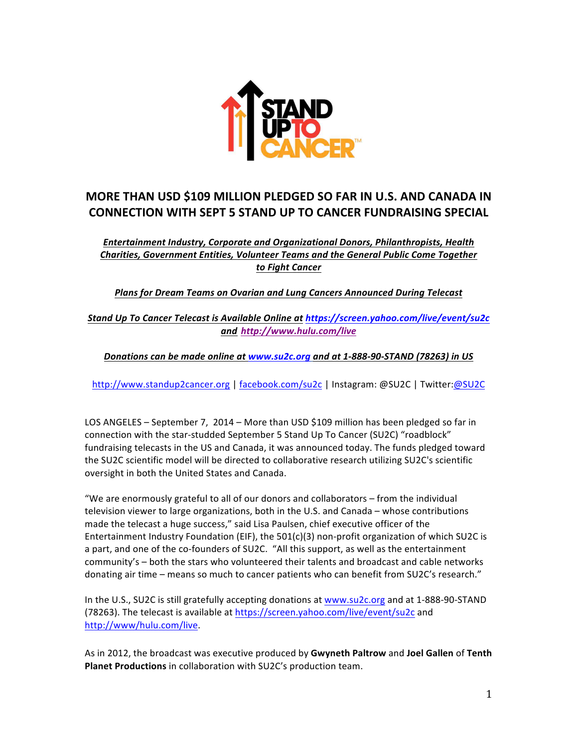

# **MORE THAN USD \$109 MILLION PLEDGED SO FAR IN U.S. AND CANADA IN CONNECTION WITH SEPT 5 STAND UP TO CANCER FUNDRAISING SPECIAL**

# *Entertainment Industry, Corporate and Organizational Donors, Philanthropists, Health* **Charities, Government Entities, Volunteer Teams and the General Public Come Together** *to Fight Cancer*

**Plans for Dream Teams on Ovarian and Lung Cancers Announced During Telecast** 

*Stand Up To Cancer Telecast is Available Online at https://screen.yahoo.com/live/event/su2c and http://www.hulu.com/live*

### *Donations can be made online at www.su2c.org and at 1-888-90-STAND (78263) in US*

http://www.standup2cancer.org | facebook.com/su2c | Instagram: @SU2C | Twitter:@SU2C

LOS ANGELES - September 7, 2014 - More than USD \$109 million has been pledged so far in connection with the star-studded September 5 Stand Up To Cancer (SU2C) "roadblock" fundraising telecasts in the US and Canada, it was announced today. The funds pledged toward the SU2C scientific model will be directed to collaborative research utilizing SU2C's scientific oversight in both the United States and Canada.

"We are enormously grateful to all of our donors and collaborators  $-$  from the individual television viewer to large organizations, both in the U.S. and Canada – whose contributions made the telecast a huge success," said Lisa Paulsen, chief executive officer of the Entertainment Industry Foundation (EIF), the  $501(c)(3)$  non-profit organization of which SU2C is a part, and one of the co-founders of SU2C. "All this support, as well as the entertainment community's - both the stars who volunteered their talents and broadcast and cable networks donating air time – means so much to cancer patients who can benefit from SU2C's research."

In the U.S., SU2C is still gratefully accepting donations at www.su2c.org and at 1-888-90-STAND (78263). The telecast is available at https://screen.yahoo.com/live/event/su2c and http://www/hulu.com/live.

As in 2012, the broadcast was executive produced by Gwyneth Paltrow and Joel Gallen of Tenth **Planet Productions** in collaboration with SU2C's production team.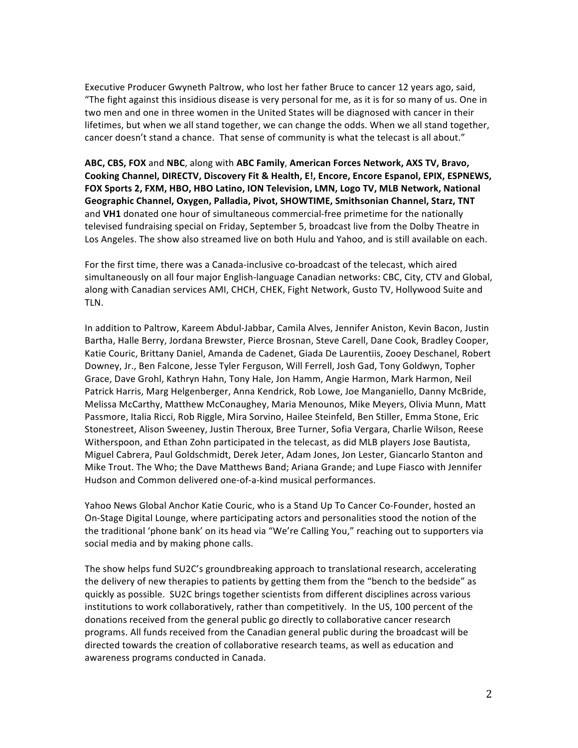Executive Producer Gwyneth Paltrow, who lost her father Bruce to cancer 12 years ago, said, "The fight against this insidious disease is very personal for me, as it is for so many of us. One in two men and one in three women in the United States will be diagnosed with cancer in their lifetimes, but when we all stand together, we can change the odds. When we all stand together, cancer doesn't stand a chance. That sense of community is what the telecast is all about."

ABC, CBS, FOX and NBC, along with ABC Family, American Forces Network, AXS TV, Bravo, Cooking Channel, DIRECTV, Discovery Fit & Health, E!, Encore, Encore Espanol, EPIX, ESPNEWS, FOX Sports 2, FXM, HBO, HBO Latino, ION Television, LMN, Logo TV, MLB Network, National Geographic Channel, Oxygen, Palladia, Pivot, SHOWTIME, Smithsonian Channel, Starz, TNT and VH1 donated one hour of simultaneous commercial-free primetime for the nationally televised fundraising special on Friday, September 5, broadcast live from the Dolby Theatre in Los Angeles. The show also streamed live on both Hulu and Yahoo, and is still available on each.

For the first time, there was a Canada-inclusive co-broadcast of the telecast, which aired simultaneously on all four major English-language Canadian networks: CBC, City, CTV and Global, along with Canadian services AMI, CHCH, CHEK, Fight Network, Gusto TV, Hollywood Suite and TLN. 

In addition to Paltrow, Kareem Abdul-Jabbar, Camila Alves, Jennifer Aniston, Kevin Bacon, Justin Bartha, Halle Berry, Jordana Brewster, Pierce Brosnan, Steve Carell, Dane Cook, Bradley Cooper, Katie Couric, Brittany Daniel, Amanda de Cadenet, Giada De Laurentiis, Zooey Deschanel, Robert Downey, Jr., Ben Falcone, Jesse Tyler Ferguson, Will Ferrell, Josh Gad, Tony Goldwyn, Topher Grace, Dave Grohl, Kathryn Hahn, Tony Hale, Jon Hamm, Angie Harmon, Mark Harmon, Neil Patrick Harris, Marg Helgenberger, Anna Kendrick, Rob Lowe, Joe Manganiello, Danny McBride, Melissa McCarthy, Matthew McConaughey, Maria Menounos, Mike Meyers, Olivia Munn, Matt Passmore, Italia Ricci, Rob Riggle, Mira Sorvino, Hailee Steinfeld, Ben Stiller, Emma Stone, Eric Stonestreet, Alison Sweeney, Justin Theroux, Bree Turner, Sofia Vergara, Charlie Wilson, Reese Witherspoon, and Ethan Zohn participated in the telecast, as did MLB players Jose Bautista, Miguel Cabrera, Paul Goldschmidt, Derek Jeter, Adam Jones, Jon Lester, Giancarlo Stanton and Mike Trout. The Who; the Dave Matthews Band; Ariana Grande; and Lupe Fiasco with Jennifer Hudson and Common delivered one-of-a-kind musical performances.

Yahoo News Global Anchor Katie Couric, who is a Stand Up To Cancer Co-Founder, hosted an On-Stage Digital Lounge, where participating actors and personalities stood the notion of the the traditional 'phone bank' on its head via "We're Calling You," reaching out to supporters via social media and by making phone calls.

The show helps fund SU2C's groundbreaking approach to translational research, accelerating the delivery of new therapies to patients by getting them from the "bench to the bedside" as quickly as possible. SU2C brings together scientists from different disciplines across various institutions to work collaboratively, rather than competitively. In the US, 100 percent of the donations received from the general public go directly to collaborative cancer research programs. All funds received from the Canadian general public during the broadcast will be directed towards the creation of collaborative research teams, as well as education and awareness programs conducted in Canada.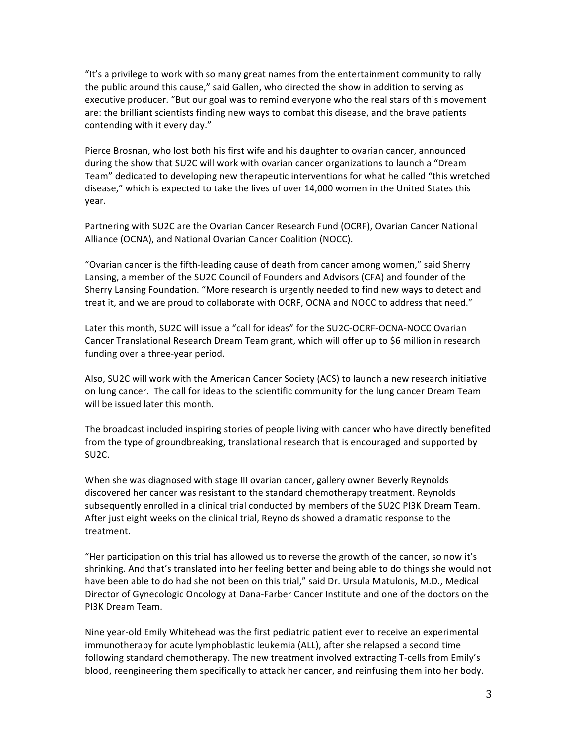"It's a privilege to work with so many great names from the entertainment community to rally the public around this cause," said Gallen, who directed the show in addition to serving as executive producer. "But our goal was to remind everyone who the real stars of this movement are: the brilliant scientists finding new ways to combat this disease, and the brave patients contending with it every day."

Pierce Brosnan, who lost both his first wife and his daughter to ovarian cancer, announced during the show that SU2C will work with ovarian cancer organizations to launch a "Dream Team" dedicated to developing new therapeutic interventions for what he called "this wretched disease," which is expected to take the lives of over 14,000 women in the United States this year. 

Partnering with SU2C are the Ovarian Cancer Research Fund (OCRF), Ovarian Cancer National Alliance (OCNA), and National Ovarian Cancer Coalition (NOCC).

"Ovarian cancer is the fifth-leading cause of death from cancer among women," said Sherry Lansing, a member of the SU2C Council of Founders and Advisors (CFA) and founder of the Sherry Lansing Foundation. "More research is urgently needed to find new ways to detect and treat it, and we are proud to collaborate with OCRF, OCNA and NOCC to address that need."

Later this month, SU2C will issue a "call for ideas" for the SU2C-OCRF-OCNA-NOCC Ovarian Cancer Translational Research Dream Team grant, which will offer up to \$6 million in research funding over a three-year period.

Also, SU2C will work with the American Cancer Society (ACS) to launch a new research initiative on lung cancer. The call for ideas to the scientific community for the lung cancer Dream Team will be issued later this month.

The broadcast included inspiring stories of people living with cancer who have directly benefited from the type of groundbreaking, translational research that is encouraged and supported by SU2C. 

When she was diagnosed with stage III ovarian cancer, gallery owner Beverly Reynolds discovered her cancer was resistant to the standard chemotherapy treatment. Reynolds subsequently enrolled in a clinical trial conducted by members of the SU2C PI3K Dream Team. After just eight weeks on the clinical trial, Reynolds showed a dramatic response to the treatment. 

"Her participation on this trial has allowed us to reverse the growth of the cancer, so now it's shrinking. And that's translated into her feeling better and being able to do things she would not have been able to do had she not been on this trial," said Dr. Ursula Matulonis, M.D., Medical Director of Gynecologic Oncology at Dana-Farber Cancer Institute and one of the doctors on the PI3K Dream Team.

Nine year-old Emily Whitehead was the first pediatric patient ever to receive an experimental immunotherapy for acute lymphoblastic leukemia (ALL), after she relapsed a second time following standard chemotherapy. The new treatment involved extracting T-cells from Emily's blood, reengineering them specifically to attack her cancer, and reinfusing them into her body.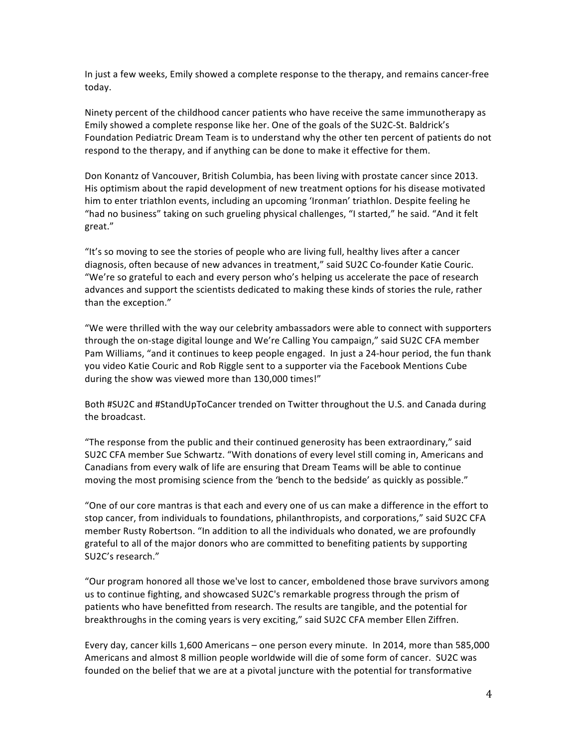In just a few weeks, Emily showed a complete response to the therapy, and remains cancer-free today. 

Ninety percent of the childhood cancer patients who have receive the same immunotherapy as Emily showed a complete response like her. One of the goals of the SU2C-St. Baldrick's Foundation Pediatric Dream Team is to understand why the other ten percent of patients do not respond to the therapy, and if anything can be done to make it effective for them.

Don Konantz of Vancouver, British Columbia, has been living with prostate cancer since 2013. His optimism about the rapid development of new treatment options for his disease motivated him to enter triathlon events, including an upcoming 'Ironman' triathlon. Despite feeling he "had no business" taking on such grueling physical challenges, "I started," he said. "And it felt great." 

"It's so moving to see the stories of people who are living full, healthy lives after a cancer diagnosis, often because of new advances in treatment," said SU2C Co-founder Katie Couric. "We're so grateful to each and every person who's helping us accelerate the pace of research advances and support the scientists dedicated to making these kinds of stories the rule, rather than the exception."

"We were thrilled with the way our celebrity ambassadors were able to connect with supporters through the on-stage digital lounge and We're Calling You campaign," said SU2C CFA member Pam Williams, "and it continues to keep people engaged. In just a 24-hour period, the fun thank you video Katie Couric and Rob Riggle sent to a supporter via the Facebook Mentions Cube during the show was viewed more than 130,000 times!"

Both #SU2C and #StandUpToCancer trended on Twitter throughout the U.S. and Canada during the broadcast.

"The response from the public and their continued generosity has been extraordinary," said SU2C CFA member Sue Schwartz. "With donations of every level still coming in, Americans and Canadians from every walk of life are ensuring that Dream Teams will be able to continue moving the most promising science from the 'bench to the bedside' as quickly as possible."

"One of our core mantras is that each and every one of us can make a difference in the effort to stop cancer, from individuals to foundations, philanthropists, and corporations," said SU2C CFA member Rusty Robertson. "In addition to all the individuals who donated, we are profoundly grateful to all of the major donors who are committed to benefiting patients by supporting SU2C's research."

"Our program honored all those we've lost to cancer, emboldened those brave survivors among us to continue fighting, and showcased SU2C's remarkable progress through the prism of patients who have benefitted from research. The results are tangible, and the potential for breakthroughs in the coming years is very exciting," said SU2C CFA member Ellen Ziffren.

Every day, cancer kills 1,600 Americans – one person every minute. In 2014, more than 585,000 Americans and almost 8 million people worldwide will die of some form of cancer. SU2C was founded on the belief that we are at a pivotal juncture with the potential for transformative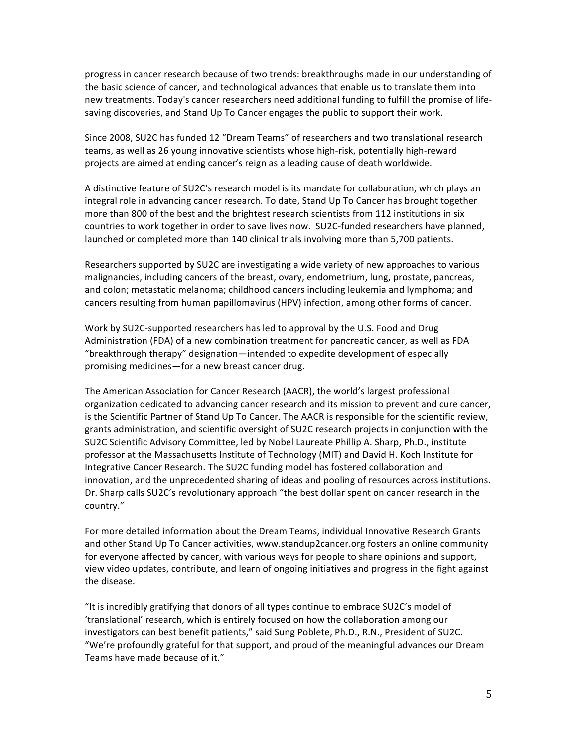progress in cancer research because of two trends: breakthroughs made in our understanding of the basic science of cancer, and technological advances that enable us to translate them into new treatments. Today's cancer researchers need additional funding to fulfill the promise of lifesaving discoveries, and Stand Up To Cancer engages the public to support their work.

Since 2008, SU2C has funded 12 "Dream Teams" of researchers and two translational research teams, as well as 26 young innovative scientists whose high-risk, potentially high-reward projects are aimed at ending cancer's reign as a leading cause of death worldwide.

A distinctive feature of SU2C's research model is its mandate for collaboration, which plays an integral role in advancing cancer research. To date, Stand Up To Cancer has brought together more than 800 of the best and the brightest research scientists from 112 institutions in six countries to work together in order to save lives now. SU2C-funded researchers have planned, launched or completed more than 140 clinical trials involving more than 5,700 patients.

Researchers supported by SU2C are investigating a wide variety of new approaches to various malignancies, including cancers of the breast, ovary, endometrium, lung, prostate, pancreas, and colon; metastatic melanoma; childhood cancers including leukemia and lymphoma; and cancers resulting from human papillomavirus (HPV) infection, among other forms of cancer.

Work by SU2C-supported researchers has led to approval by the U.S. Food and Drug Administration (FDA) of a new combination treatment for pancreatic cancer, as well as FDA "breakthrough therapy" designation—intended to expedite development of especially promising medicines—for a new breast cancer drug.

The American Association for Cancer Research (AACR), the world's largest professional organization dedicated to advancing cancer research and its mission to prevent and cure cancer, is the Scientific Partner of Stand Up To Cancer. The AACR is responsible for the scientific review, grants administration, and scientific oversight of SU2C research projects in conjunction with the SU2C Scientific Advisory Committee, led by Nobel Laureate Phillip A. Sharp, Ph.D., institute professor at the Massachusetts Institute of Technology (MIT) and David H. Koch Institute for Integrative Cancer Research. The SU2C funding model has fostered collaboration and innovation, and the unprecedented sharing of ideas and pooling of resources across institutions. Dr. Sharp calls SU2C's revolutionary approach "the best dollar spent on cancer research in the country."

For more detailed information about the Dream Teams, individual Innovative Research Grants and other Stand Up To Cancer activities, www.standup2cancer.org fosters an online community for everyone affected by cancer, with various ways for people to share opinions and support, view video updates, contribute, and learn of ongoing initiatives and progress in the fight against the disease.

"It is incredibly gratifying that donors of all types continue to embrace SU2C's model of 'translational' research, which is entirely focused on how the collaboration among our investigators can best benefit patients," said Sung Poblete, Ph.D., R.N., President of SU2C. "We're profoundly grateful for that support, and proud of the meaningful advances our Dream Teams have made because of it."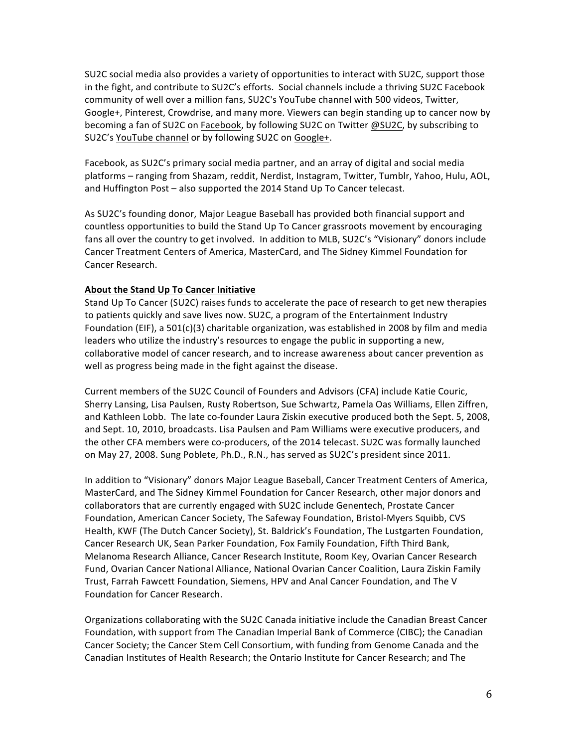SU2C social media also provides a variety of opportunities to interact with SU2C, support those in the fight, and contribute to SU2C's efforts. Social channels include a thriving SU2C Facebook community of well over a million fans, SU2C's YouTube channel with 500 videos, Twitter, Google+, Pinterest, Crowdrise, and many more. Viewers can begin standing up to cancer now by becoming a fan of SU2C on Facebook, by following SU2C on Twitter @SU2C, by subscribing to SU2C's YouTube channel or by following SU2C on Google+.

Facebook, as SU2C's primary social media partner, and an array of digital and social media platforms - ranging from Shazam, reddit, Nerdist, Instagram, Twitter, Tumblr, Yahoo, Hulu, AOL, and Huffington Post – also supported the 2014 Stand Up To Cancer telecast.

As SU2C's founding donor, Major League Baseball has provided both financial support and countless opportunities to build the Stand Up To Cancer grassroots movement by encouraging fans all over the country to get involved. In addition to MLB, SU2C's "Visionary" donors include Cancer Treatment Centers of America, MasterCard, and The Sidney Kimmel Foundation for Cancer Research.

#### **About the Stand Up To Cancer Initiative**

Stand Up To Cancer (SU2C) raises funds to accelerate the pace of research to get new therapies to patients quickly and save lives now. SU2C, a program of the Entertainment Industry Foundation (EIF), a 501(c)(3) charitable organization, was established in 2008 by film and media leaders who utilize the industry's resources to engage the public in supporting a new, collaborative model of cancer research, and to increase awareness about cancer prevention as well as progress being made in the fight against the disease.

Current members of the SU2C Council of Founders and Advisors (CFA) include Katie Couric, Sherry Lansing, Lisa Paulsen, Rusty Robertson, Sue Schwartz, Pamela Oas Williams, Ellen Ziffren, and Kathleen Lobb. The late co-founder Laura Ziskin executive produced both the Sept. 5, 2008, and Sept. 10, 2010, broadcasts. Lisa Paulsen and Pam Williams were executive producers, and the other CFA members were co-producers, of the 2014 telecast. SU2C was formally launched on May 27, 2008. Sung Poblete, Ph.D., R.N., has served as SU2C's president since 2011.

In addition to "Visionary" donors Major League Baseball, Cancer Treatment Centers of America, MasterCard, and The Sidney Kimmel Foundation for Cancer Research, other major donors and collaborators that are currently engaged with SU2C include Genentech, Prostate Cancer Foundation, American Cancer Society, The Safeway Foundation, Bristol-Myers Squibb, CVS Health, KWF (The Dutch Cancer Society), St. Baldrick's Foundation, The Lustgarten Foundation, Cancer Research UK, Sean Parker Foundation, Fox Family Foundation, Fifth Third Bank, Melanoma Research Alliance, Cancer Research Institute, Room Key, Ovarian Cancer Research Fund, Ovarian Cancer National Alliance, National Ovarian Cancer Coalition, Laura Ziskin Family Trust, Farrah Fawcett Foundation, Siemens, HPV and Anal Cancer Foundation, and The V Foundation for Cancer Research.

Organizations collaborating with the SU2C Canada initiative include the Canadian Breast Cancer Foundation, with support from The Canadian Imperial Bank of Commerce (CIBC); the Canadian Cancer Society; the Cancer Stem Cell Consortium, with funding from Genome Canada and the Canadian Institutes of Health Research; the Ontario Institute for Cancer Research; and The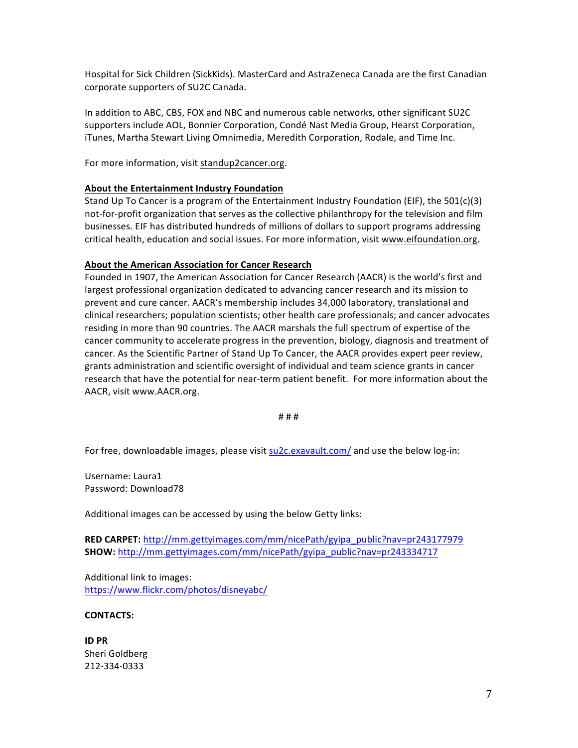Hospital for Sick Children (SickKids). MasterCard and AstraZeneca Canada are the first Canadian corporate supporters of SU2C Canada.

In addition to ABC, CBS, FOX and NBC and numerous cable networks, other significant SU2C supporters include AOL, Bonnier Corporation, Condé Nast Media Group, Hearst Corporation, iTunes, Martha Stewart Living Omnimedia, Meredith Corporation, Rodale, and Time Inc.

For more information, visit standup2cancer.org.

#### **About the Entertainment Industry Foundation**

Stand Up To Cancer is a program of the Entertainment Industry Foundation (EIF), the  $501(c)(3)$ not-for-profit organization that serves as the collective philanthropy for the television and film businesses. EIF has distributed hundreds of millions of dollars to support programs addressing critical health, education and social issues. For more information, visit www.eifoundation.org.

#### **About the American Association for Cancer Research**

Founded in 1907, the American Association for Cancer Research (AACR) is the world's first and largest professional organization dedicated to advancing cancer research and its mission to prevent and cure cancer. AACR's membership includes 34,000 laboratory, translational and clinical researchers; population scientists; other health care professionals; and cancer advocates residing in more than 90 countries. The AACR marshals the full spectrum of expertise of the cancer community to accelerate progress in the prevention, biology, diagnosis and treatment of cancer. As the Scientific Partner of Stand Up To Cancer, the AACR provides expert peer review, grants administration and scientific oversight of individual and team science grants in cancer research that have the potential for near-term patient benefit. For more information about the AACR, visit www.AACR.org.

# # #

For free, downloadable images, please visit su2c.exavault.com/ and use the below log-in:

Username: Laura1 Password: Download78

Additional images can be accessed by using the below Getty links:

**RED CARPET:** http://mm.gettyimages.com/mm/nicePath/gyipa\_public?nav=pr243177979 **SHOW:** http://mm.gettyimages.com/mm/nicePath/gyipa\_public?nav=pr243334717

Additional link to images: https://www.flickr.com/photos/disneyabc/

#### **CONTACTS:**

**ID PR** Sheri Goldberg 212-334-0333